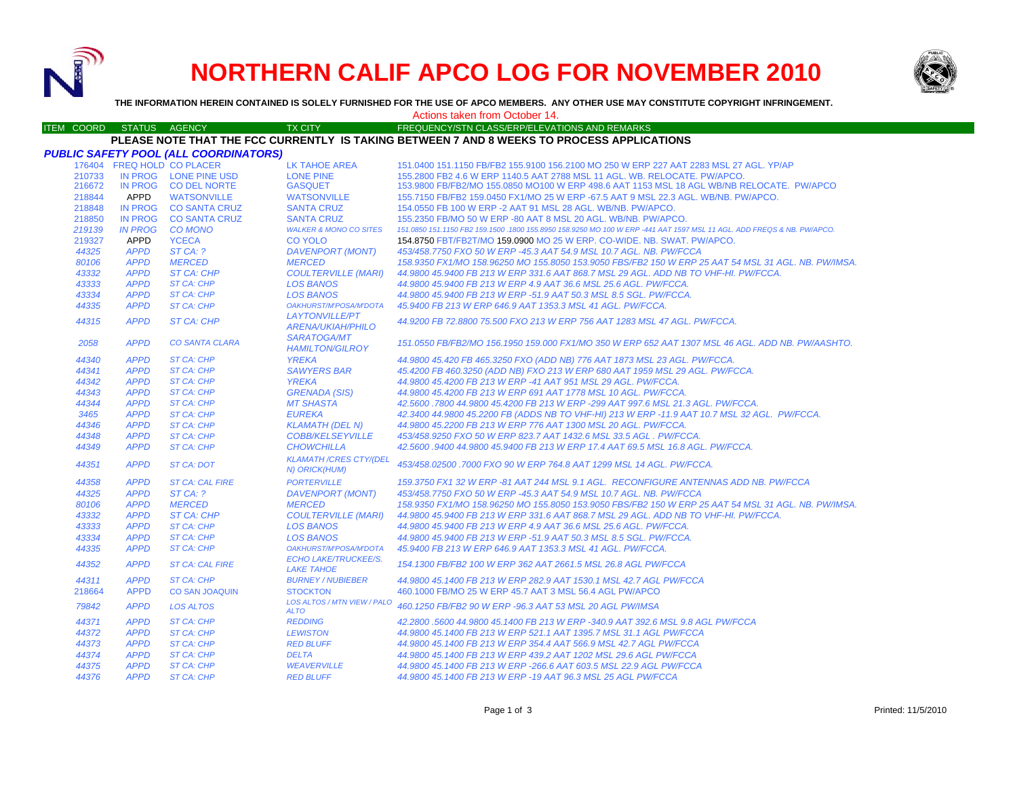

# **NORTHERN CALIF APCO LOG FOR NOVEMBER 2010**



**THE INFORMATION HEREIN CONTAINED IS SOLELY FURNISHED FOR THE USE OF APCO MEMBERS. ANY OTHER USE MAY CONSTITUTE COPYRIGHT INFRINGEMENT.**

#### Actions taken from October 14.

#### ITEM COORD STATUS AGENCY TX CITY TIREQUENCY/STN CLASS/ERP/ELEVATIONS AND REMARKS **PLEASE NOTE THAT THE FCC CURRENTLY IS TAKING BETWEEN 7 AND 8 WEEKS TO PROCESS APPLICATIONS**

|        |                | <b>PUBLIC SAFETY POOL (ALL COORDINATORS)</b> |                                                   |                                                                                                                        |
|--------|----------------|----------------------------------------------|---------------------------------------------------|------------------------------------------------------------------------------------------------------------------------|
|        |                | 176404 FREQ HOLD CO PLACER                   | LK TAHOE AREA                                     | 151.0400 151.1150 FB/FB2 155.9100 156.2100 MO 250 W ERP 227 AAT 2283 MSL 27 AGL. YP/AP                                 |
| 210733 |                | IN PROG LONE PINE USD                        | <b>LONE PINE</b>                                  | 155,2800 FB2 4.6 W ERP 1140.5 AAT 2788 MSL 11 AGL, WB, RELOCATE, PW/APCO,                                              |
| 216672 |                | IN PROG CO DEL NORTE                         | <b>GASQUET</b>                                    | 153.9800 FB/FB2/MO 155.0850 MO100 W ERP 498.6 AAT 1153 MSL 18 AGL WB/NB RELOCATE. PW/APCO                              |
| 218844 | APPD           | <b>WATSONVILLE</b>                           | <b>WATSONVILLE</b>                                | 155.7150 FB/FB2 159.0450 FX1/MO 25 W ERP -67.5 AAT 9 MSL 22.3 AGL, WB/NB, PW/APCO,                                     |
| 218848 |                | IN PROG CO SANTA CRUZ                        | <b>SANTA CRUZ</b>                                 | 154,0550 FB 100 W ERP -2 AAT 91 MSL 28 AGL, WB/NB, PW/APCO,                                                            |
| 218850 |                | IN PROG CO SANTA CRUZ                        | <b>SANTA CRUZ</b>                                 | 155,2350 FB/MO 50 W ERP -80 AAT 8 MSL 20 AGL, WB/NB, PW/APCO,                                                          |
| 219139 | <b>IN PROG</b> | <b>CO MONO</b>                               | <b>WALKER &amp; MONO CO SITES</b>                 | 151.0850 151.1150 FB2 159.1500 .1800 155.8950 158.9250 MO 100 W ERP -441 AAT 1597 MSL 11 AGL. ADD FREQS & NB. PW/APCO. |
| 219327 | APPD           | <b>YCECA</b>                                 | <b>CO YOLO</b>                                    | 154.8750 FBT/FB2T/MO 159.0900 MO 25 W ERP. CO-WIDE. NB. SWAT. PW/APCO.                                                 |
| 44325  | <b>APPD</b>    | ST CA: ?                                     | <b>DAVENPORT (MONT)</b>                           | 453/458.7750 FXO 50 W ERP -45.3 AAT 54.9 MSL 10.7 AGL. NB. PW/FCCA                                                     |
| 80106  | <b>APPD</b>    | <b>MERCED</b>                                | <b>MERCED</b>                                     | 158.9350 FX1/MO 158.96250 MO 155.8050 153.9050 FBS/FB2 150 W ERP 25 AAT 54 MSL 31 AGL. NB. PW/IMSA.                    |
| 43332  | <b>APPD</b>    | <b>ST CA: CHP</b>                            | <b>COULTERVILLE (MARI)</b>                        | 44,9800 45,9400 FB 213 W ERP 331.6 AAT 868.7 MSL 29 AGL, ADD NB TO VHF-HI, PW/FCCA,                                    |
| 43333  | <b>APPD</b>    | <b>ST CA: CHP</b>                            | <b>LOS BANOS</b>                                  | 44.9800 45.9400 FB 213 W ERP 4.9 AAT 36.6 MSL 25.6 AGL, PW/FCCA.                                                       |
| 43334  | <b>APPD</b>    | <b>ST CA: CHP</b>                            | <b>LOS BANOS</b>                                  | 44.9800 45.9400 FB 213 W ERP -51.9 AAT 50.3 MSL 8.5 SGL. PW/FCCA.                                                      |
| 44335  | <b>APPD</b>    | <b>ST CA: CHP</b>                            | OAKHURST/M'POSA/M'DOTA                            | 45.9400 FB 213 W ERP 646.9 AAT 1353.3 MSL 41 AGL, PW/FCCA.                                                             |
| 44315  | <b>APPD</b>    | ST CA: CHP                                   | <b>LAYTONVILLE/PT</b><br><b>ARENA/UKIAH/PHILO</b> | 44.9200 FB 72.8800 75.500 FXO 213 W ERP 756 AAT 1283 MSL 47 AGL, PW/FCCA,                                              |
| 2058   | <b>APPD</b>    | <b>CO SANTA CLARA</b>                        | <b>SARATOGA/MT</b><br><b>HAMILTON/GILROY</b>      | 151.0550 FB/FB2/MO 156.1950 159.000 FX1/MO 350 W ERP 652 AAT 1307 MSL 46 AGL. ADD NB. PW/AASHTO.                       |
| 44340  | <b>APPD</b>    | <b>ST CA: CHP</b>                            | <b>YREKA</b>                                      | 44.9800 45.420 FB 465.3250 FXO (ADD NB) 776 AAT 1873 MSL 23 AGL. PW/FCCA.                                              |
| 44341  | <b>APPD</b>    | <b>ST CA: CHP</b>                            | <b>SAWYERS BAR</b>                                | 45.4200 FB 460.3250 (ADD NB) FXO 213 W ERP 680 AAT 1959 MSL 29 AGL. PW/FCCA.                                           |
| 44342  | <b>APPD</b>    | <b>ST CA: CHP</b>                            | <b>YREKA</b>                                      | 44.9800 45.4200 FB 213 W ERP -41 AAT 951 MSL 29 AGL. PW/FCCA.                                                          |
| 44343  | <b>APPD</b>    | <b>ST CA: CHP</b>                            | <b>GRENADA (SIS)</b>                              | 44.9800 45.4200 FB 213 W ERP 691 AAT 1778 MSL 10 AGL. PW/FCCA.                                                         |
| 44344  | <b>APPD</b>    | <b>ST CA: CHP</b>                            | <b>MT SHASTA</b>                                  | 42.5600.7800 44.9800 45.4200 FB 213 W ERP -299 AAT 997.6 MSL 21.3 AGL, PW/FCCA.                                        |
| 3465   | <b>APPD</b>    | <b>ST CA: CHP</b>                            | <b>EUREKA</b>                                     | 42.3400 44.9800 45.2200 FB (ADDS NB TO VHF-HI) 213 W ERP -11.9 AAT 10.7 MSL 32 AGL. PW/FCCA.                           |
| 44346  | <b>APPD</b>    | <b>ST CA: CHP</b>                            | <b>KLAMATH (DEL N)</b>                            | 44.9800 45.2200 FB 213 W ERP 776 AAT 1300 MSL 20 AGL, PW/FCCA.                                                         |
| 44348  | <b>APPD</b>    | <b>ST CA: CHP</b>                            | <b>COBB/KELSEYVILLE</b>                           | 453/458.9250 FXO 50 W ERP 823.7 AAT 1432.6 MSL 33.5 AGL . PW/FCCA.                                                     |
| 44349  | <b>APPD</b>    | <b>ST CA: CHP</b>                            | <b>CHOWCHILLA</b>                                 | 42.5600.9400 44.9800 45.9400 FB 213 W ERP 17.4 AAT 69.5 MSL 16.8 AGL, PW/FCCA,                                         |
| 44351  | <b>APPD</b>    | <b>ST CA: DOT</b>                            | <b>KLAMATH /CRES CTY/(DEL</b><br>N) ORICK(HUM)    | 453/458.02500 .7000 FXO 90 W ERP 764.8 AAT 1299 MSL 14 AGL, PW/FCCA.                                                   |
| 44358  | <b>APPD</b>    | <b>ST CA: CAL FIRE</b>                       | <b>PORTERVILLE</b>                                | 159.3750 FX1 32 W ERP-81 AAT 244 MSL 9.1 AGL. RECONFIGURE ANTENNAS ADD NB. PW/FCCA                                     |
| 44325  | <b>APPD</b>    | STCA: ?                                      | <b>DAVENPORT (MONT)</b>                           | 453/458.7750 FXO 50 W ERP -45.3 AAT 54.9 MSL 10.7 AGL. NB. PW/FCCA                                                     |
| 80106  | <b>APPD</b>    | <b>MERCED</b>                                | <b>MERCED</b>                                     | 158.9350 FX1/MO 158.96250 MO 155.8050 153.9050 FBS/FB2 150 W ERP 25 AAT 54 MSL 31 AGL. NB. PW/IMSA.                    |
| 43332  | <b>APPD</b>    | ST CA: CHP                                   | <b>COULTERVILLE (MARI)</b>                        | 44.9800 45.9400 FB 213 W ERP 331.6 AAT 868.7 MSL 29 AGL, ADD NB TO VHF-HI, PW/FCCA,                                    |
| 43333  | <b>APPD</b>    | <b>ST CA: CHP</b>                            | <b>LOS BANOS</b>                                  | 44.9800 45.9400 FB 213 W ERP 4.9 AAT 36.6 MSL 25.6 AGL, PW/FCCA.                                                       |
| 43334  | <b>APPD</b>    | <b>ST CA: CHP</b>                            | <b>LOS BANOS</b>                                  | 44.9800 45.9400 FB 213 W ERP -51.9 AAT 50.3 MSL 8.5 SGL, PW/FCCA.                                                      |
| 44335  | <b>APPD</b>    | <b>ST CA: CHP</b>                            | OAKHURST/M'POSA/M'DOTA                            | 45.9400 FB 213 W ERP 646.9 AAT 1353.3 MSL 41 AGL, PW/FCCA,                                                             |
| 44352  | <b>APPD</b>    | <b>ST CA: CAL FIRE</b>                       | <b>ECHO LAKE/TRUCKEE/S.</b><br><b>LAKE TAHOE</b>  | 154.1300 FB/FB2 100 W ERP 362 AAT 2661.5 MSL 26.8 AGL PW/FCCA                                                          |
| 44311  | <b>APPD</b>    | <b>ST CA: CHP</b>                            | <b>BURNEY / NUBIEBER</b>                          | 44.9800 45.1400 FB 213 W ERP 282.9 AAT 1530.1 MSL 42.7 AGL PW/FCCA                                                     |
| 218664 | <b>APPD</b>    | <b>CO SAN JOAQUIN</b>                        | <b>STOCKTON</b>                                   | 460.1000 FB/MO 25 W ERP 45.7 AAT 3 MSL 56.4 AGL PW/APCO                                                                |
| 79842  | <b>APPD</b>    | <b>LOS ALTOS</b>                             | LOS ALTOS / MTN VIEW / PALO<br><b>ALTO</b>        | 460,1250 FB/FB2 90 W ERP -96,3 AAT 53 MSL 20 AGL PW/IMSA                                                               |
| 44371  | <b>APPD</b>    | <b>ST CA: CHP</b>                            | <b>REDDING</b>                                    | 42.2800 .5600 44.9800 45.1400 FB 213 W ERP -340.9 AAT 392.6 MSL 9.8 AGL PW/FCCA                                        |
| 44372  | <b>APPD</b>    | ST CA: CHP                                   | <b>LEWISTON</b>                                   | 44.9800 45.1400 FB 213 W ERP 521.1 AAT 1395.7 MSL 31.1 AGL PW/FCCA                                                     |
| 44373  | <b>APPD</b>    | <b>ST CA: CHP</b>                            | <b>RED BLUFF</b>                                  | 44.9800 45.1400 FB 213 W ERP 354.4 AAT 566.9 MSL 42.7 AGL PW/FCCA                                                      |
| 44374  | <b>APPD</b>    | <b>ST CA: CHP</b>                            | <b>DELTA</b>                                      | 44.9800 45.1400 FB 213 W ERP 439.2 AAT 1202 MSL 29.6 AGL PW/FCCA                                                       |
| 44375  | <b>APPD</b>    | <b>ST CA: CHP</b>                            | <b>WEAVERVILLE</b>                                | 44.9800 45.1400 FB 213 W ERP -266.6 AAT 603.5 MSL 22.9 AGL PW/FCCA                                                     |
| 44376  | <b>APPD</b>    | <b>ST CA: CHP</b>                            | <b>RED BLUFF</b>                                  | 44.9800 45.1400 FB 213 W ERP -19 AAT 96.3 MSL 25 AGL PW/FCCA                                                           |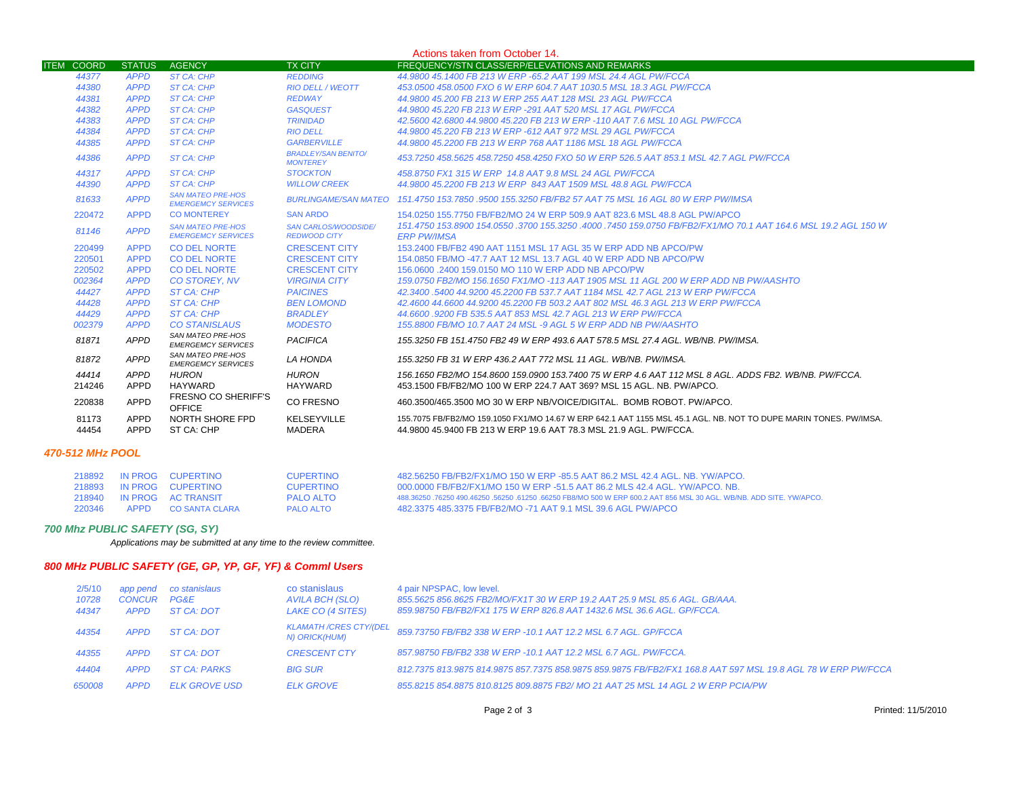|                   |                     |                                                       |                                               | Actions taken from October 14.                                                                                                                                                         |
|-------------------|---------------------|-------------------------------------------------------|-----------------------------------------------|----------------------------------------------------------------------------------------------------------------------------------------------------------------------------------------|
| <b>ITEM COORD</b> | <b>STATUS</b>       | <b>AGENCY</b>                                         | <b>TX CITY</b>                                | <b>FREQUENCY/STN CLASS/ERP/ELEVATIONS AND REMARKS</b>                                                                                                                                  |
| 44377             | <b>APPD</b>         | ST CA: CHP                                            | <b>REDDING</b>                                | 44.9800 45.1400 FB 213 W ERP -65.2 AAT 199 MSL 24.4 AGL PW/FCCA                                                                                                                        |
| 44380             | <b>APPD</b>         | <b>ST CA: CHP</b>                                     | <b>RIO DELL / WEOTT</b>                       | 453.0500 458.0500 FXO 6 W ERP 604.7 AAT 1030.5 MSL 18.3 AGL PW/FCCA                                                                                                                    |
| 44381             | <b>APPD</b>         | <b>ST CA: CHP</b>                                     | <b>REDWAY</b>                                 | 44.9800 45.200 FB 213 W ERP 255 AAT 128 MSL 23 AGL PW/FCCA                                                                                                                             |
| 44382             | <b>APPD</b>         | <b>ST CA: CHP</b>                                     | <b>GASQUEST</b>                               | 44.9800 45.220 FB 213 W ERP -291 AAT 520 MSL 17 AGL PW/FCCA                                                                                                                            |
| 44383             | <b>APPD</b>         | <b>ST CA: CHP</b>                                     | <b>TRINIDAD</b>                               | 42.5600 42.6800 44.9800 45.220 FB 213 W ERP -110 AAT 7.6 MSL 10 AGL PW/FCCA                                                                                                            |
| 44384             | <b>APPD</b>         | <b>ST CA: CHP</b>                                     | <b>RIO DELL</b>                               | 44.9800 45.220 FB 213 W ERP -612 AAT 972 MSL 29 AGL PW/FCCA                                                                                                                            |
| 44385             | <b>APPD</b>         | <b>ST CA: CHP</b>                                     | <b>GARBERVILLE</b>                            | 44.9800 45.2200 FB 213 W ERP 768 AAT 1186 MSL 18 AGL PW/FCCA                                                                                                                           |
| 44386             | <b>APPD</b>         | <b>ST CA: CHP</b>                                     | <b>BRADLEY/SAN BENITO/</b><br><b>MONTEREY</b> | 453.7250 458.5625 458.7250 458.4250 FXO 50 W ERP 526.5 AAT 853.1 MSL 42.7 AGL PW/FCCA                                                                                                  |
| 44317             | <b>APPD</b>         | ST CA: CHP                                            | <b>STOCKTON</b>                               | 458.8750 FX1 315 W ERP 14.8 AAT 9.8 MSL 24 AGL PW/FCCA                                                                                                                                 |
| 44390             | <b>APPD</b>         | <b>ST CA: CHP</b>                                     | <b>WILLOW CREEK</b>                           | 44,9800 45,2200 FB 213 W ERP 843 AAT 1509 MSL 48.8 AGL PW/FCCA                                                                                                                         |
| 81633             | <b>APPD</b>         | <b>SAN MATEO PRE-HOS</b><br><b>EMERGEMCY SERVICES</b> |                                               | BURLINGAME/SAN MATEO 151.4750 153.7850 .9500 155.3250 FB/FB2 57 AAT 75 MSL 16 AGL 80 W ERP PW/IMSA                                                                                     |
| 220472            | <b>APPD</b>         | <b>CO MONTEREY</b>                                    | <b>SAN ARDO</b>                               | 154,0250 155,7750 FB/FB2/MO 24 W ERP 509.9 AAT 823.6 MSL 48.8 AGL PW/APCO                                                                                                              |
| 81146             | <b>APPD</b>         | <b>SAN MATEO PRE-HOS</b><br><b>EMERGEMCY SERVICES</b> | SAN CARLOS/WOODSIDE/<br><b>REDWOOD CITY</b>   | 151.4750 153.8900 154.0550 .3700 155.3250 .4000 .7450 159.0750 FB/FB2/FX1/MO 70.1 AAT 164.6 MSL 19.2 AGL 150 W<br><b>ERP PW/IMSA</b>                                                   |
| 220499            | <b>APPD</b>         | <b>CO DEL NORTE</b>                                   | <b>CRESCENT CITY</b>                          | 153,2400 FB/FB2 490 AAT 1151 MSL 17 AGL 35 W ERP ADD NB APCO/PW                                                                                                                        |
| 220501            | <b>APPD</b>         | <b>CO DEL NORTE</b>                                   | <b>CRESCENT CITY</b>                          | 154,0850 FB/MO -47.7 AAT 12 MSL 13.7 AGL 40 W ERP ADD NB APCO/PW                                                                                                                       |
| 220502            | <b>APPD</b>         | <b>CO DEL NORTE</b>                                   | <b>CRESCENT CITY</b>                          | 156,0600 .2400 159,0150 MO 110 W ERP ADD NB APCO/PW                                                                                                                                    |
| 002364            | <b>APPD</b>         | <b>CO STOREY, NV</b>                                  | <b>VIRGINIA CITY</b>                          | 159.0750 FB2/MO 156.1650 FX1/MO -113 AAT 1905 MSL 11 AGL 200 W ERP ADD NB PW/AASHTO                                                                                                    |
| 44427             | <b>APPD</b>         | ST CA: CHP                                            | <b>PAICINES</b>                               | 42.3400 .5400 44.9200 45.2200 FB 537.7 AAT 1184 MSL 42.7 AGL 213 W ERP PW/FCCA                                                                                                         |
| 44428             | <b>APPD</b>         | ST CA: CHP                                            | <b>BEN LOMOND</b>                             | 42.4600 44.6600 44.9200 45.2200 FB 503.2 AAT 802 MSL 46.3 AGL 213 W ERP PW/FCCA                                                                                                        |
| 44429             | <b>APPD</b>         | ST CA: CHP                                            | <b>BRADLEY</b>                                | 44.6600 .9200 FB 535.5 AAT 853 MSL 42.7 AGL 213 W ERP PW/FCCA                                                                                                                          |
| 002379            | <b>APPD</b>         | <b>CO STANISLAUS</b>                                  | <b>MODESTO</b>                                | 155,8800 FB/MO 10.7 AAT 24 MSL -9 AGL 5 W ERP ADD NB PW/AASHTO                                                                                                                         |
| 81871             | APPD                | SAN MATEO PRE-HOS<br><b>EMERGEMCY SERVICES</b>        | <b>PACIFICA</b>                               | 155,3250 FB 151,4750 FB2 49 W ERP 493.6 AAT 578.5 MSL 27.4 AGL, WB/NB, PW/IMSA.                                                                                                        |
| 81872             | <b>APPD</b>         | <b>SAN MATEO PRE-HOS</b><br><b>EMERGEMCY SERVICES</b> | LA HONDA                                      | 155.3250 FB 31 W ERP 436.2 AAT 772 MSL 11 AGL, WB/NB, PW/IMSA.                                                                                                                         |
| 44414<br>214246   | APPD<br>APPD        | <b>HURON</b><br><b>HAYWARD</b>                        | <b>HURON</b><br><b>HAYWARD</b>                | 156.1650 FB2/MO 154.8600 159.0900 153.7400 75 W ERP 4.6 AAT 112 MSL 8 AGL. ADDS FB2. WB/NB. PW/FCCA.<br>453.1500 FB/FB2/MO 100 W ERP 224.7 AAT 369? MSL 15 AGL, NB, PW/APCO,           |
| 220838            | APPD                | FRESNO CO SHERIFF'S<br><b>OFFICE</b>                  | CO FRESNO                                     | 460.3500/465.3500 MO 30 W ERP NB/VOICE/DIGITAL BOMB ROBOT PW/APCO.                                                                                                                     |
| 81173<br>44454    | <b>APPD</b><br>APPD | NORTH SHORE FPD<br>ST CA: CHP                         | KELSEYVILLE<br>MADERA                         | 155.7075 FB/FB2/MO 159.1050 FX1/MO 14.67 W ERP 642.1 AAT 1155 MSL 45.1 AGL. NB. NOT TO DUPE MARIN TONES. PW/IMSA.<br>44.9800 45.9400 FB 213 W ERP 19.6 AAT 78.3 MSL 21.9 AGL, PW/FCCA. |
|                   |                     |                                                       |                                               |                                                                                                                                                                                        |

## *470-512 MHz POOL*

| 218892 |      | IN PROG CUPERTINO         | CUPERTINO        | 482.56250 FB/FB2/FX1/MO 150 W ERP -85.5 AAT 86.2 MSL 42.4 AGL, NB, YW/APCO,                                      |
|--------|------|---------------------------|------------------|------------------------------------------------------------------------------------------------------------------|
|        |      | 218893 IN PROG CUPERTINO  | <b>CUPERTINO</b> | 000,0000 FB/FB2/FX1/MO 150 W ERP -51.5 AAT 86.2 MLS 42.4 AGL, YW/APCO, NB.                                       |
|        |      | 218940 IN PROG AC TRANSIT | PALO ALTO        | 488.36250.76250.490.46250.56250.61250.66250 FB8/MO 500 W ERP 600.2 AAT 856 MSL 30 AGL. WB/NB. ADD SITE, YW/APCO, |
| 220346 | APPD | CO SANTA CLARA            | PALO ALTO        | 482.3375 485.3375 FB/FB2/MO -71 AAT 9.1 MSL 39.6 AGL PW/APCO                                                     |

#### *700 Mhz PUBLIC SAFETY (SG, SY)*

*Applications may be submitted at any time to the review committee.*

# *800 MHz PUBLIC SAFETY (GE, GP, YP, GF, YF) & Comml Users*

| 2/5/10<br>10728<br>44347 | app pend<br>CONCUR<br><b>APPD</b> | co stanislaus<br>PG&E<br>ST CA: DOT | co stanislaus<br>AVILA BCH (SLO)<br>LAKE CO (4 SITES) | 4 pair NPSPAC, low level.<br>855.5625 856.8625 FB2/MO/FX1T 30 W ERP 19.2 AAT 25.9 MSL 85.6 AGL. GB/AAA.<br>859.98750 FB/FB2/FX1 175 W ERP 826.8 AAT 1432.6 MSL 36.6 AGL. GP/FCCA. |
|--------------------------|-----------------------------------|-------------------------------------|-------------------------------------------------------|-----------------------------------------------------------------------------------------------------------------------------------------------------------------------------------|
| 44354                    | <b>APPD</b>                       | ST CA: DOT                          | <b>KLAMATH /CRES CTY/(DEL</b><br>N) ORICK(HUM)        | 859.73750 FB/FB2 338 W ERP -10.1 AAT 12.2 MSL 6.7 AGL. GP/FCCA                                                                                                                    |
| 44355                    | <b>APPD</b>                       | ST CA: DOT                          | <b>CRESCENT CTY</b>                                   | 857.98750 FB/FB2 338 W ERP -10.1 AAT 12.2 MSL 6.7 AGL. PW/FCCA.                                                                                                                   |
| 44404                    | <b>APPD</b>                       | <b>ST CA: PARKS</b>                 | <b>BIG SUR</b>                                        | 812.7375 813.9875 814.9875 857.7375 858.9875 859.9875 FB/FB2/FX1 168.8 AAT 597 MSL 19.8 AGL 78 W ERP PW/FCCA                                                                      |
| 650008                   | <b>APPD</b>                       | <b>ELK GROVE USD</b>                | <b>ELK GROVE</b>                                      | 855.8215 854.8875 810.8125 809.8875 FB2/MO 21 AAT 25 MSL 14 AGL 2 W ERP PCIA/PW                                                                                                   |